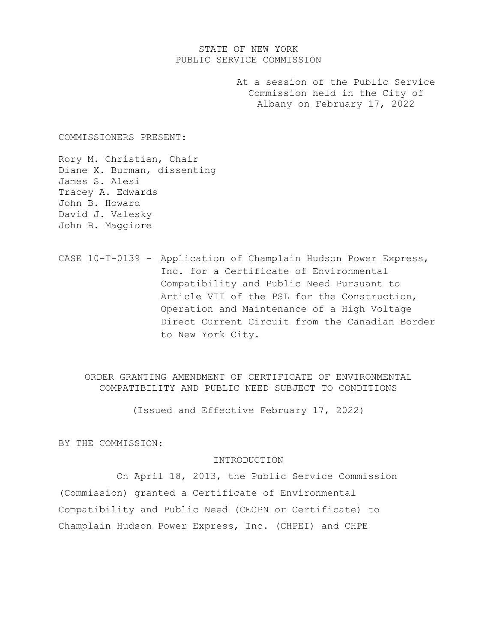# STATE OF NEW YORK PUBLIC SERVICE COMMISSION

At a session of the Public Service Commission held in the City of Albany on February 17, 2022

COMMISSIONERS PRESENT:

Rory M. Christian, Chair Diane X. Burman, dissenting James S. Alesi Tracey A. Edwards John B. Howard David J. Valesky John B. Maggiore

CASE 10-T-0139 - Application of Champlain Hudson Power Express, Inc. for a Certificate of Environmental Compatibility and Public Need Pursuant to Article VII of the PSL for the Construction, Operation and Maintenance of a High Voltage Direct Current Circuit from the Canadian Border to New York City.

ORDER GRANTING AMENDMENT OF CERTIFICATE OF ENVIRONMENTAL COMPATIBILITY AND PUBLIC NEED SUBJECT TO CONDITIONS

(Issued and Effective February 17, 2022)

BY THE COMMISSION:

### INTRODUCTION

On April 18, 2013, the Public Service Commission (Commission) granted a Certificate of Environmental Compatibility and Public Need (CECPN or Certificate) to Champlain Hudson Power Express, Inc. (CHPEI) and CHPE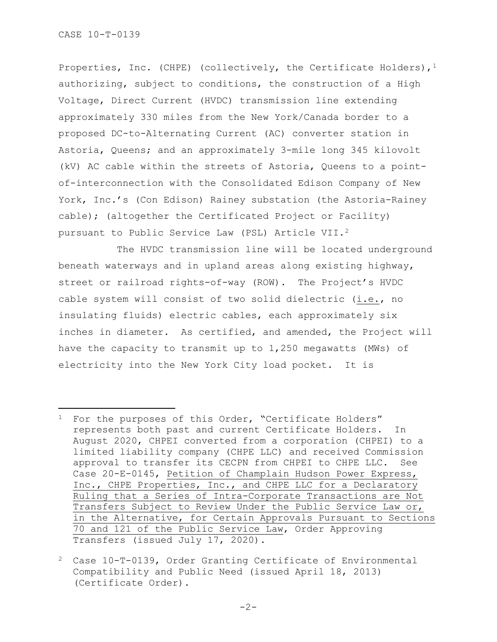Properties, Inc. (CHPE) (collectively, the Certificate Holders),  $1$ authorizing, subject to conditions, the construction of a High Voltage, Direct Current (HVDC) transmission line extending approximately 330 miles from the New York/Canada border to a proposed DC-to-Alternating Current (AC) converter station in Astoria, Queens; and an approximately 3-mile long 345 kilovolt (kV) AC cable within the streets of Astoria, Queens to a pointof-interconnection with the Consolidated Edison Company of New York, Inc.'s (Con Edison) Rainey substation (the Astoria-Rainey cable); (altogether the Certificated Project or Facility) pursuant to Public Service Law (PSL) Article VII.[2](#page-1-1)

The HVDC transmission line will be located underground beneath waterways and in upland areas along existing highway, street or railroad rights-of-way (ROW). The Project's HVDC cable system will consist of two solid dielectric (i.e., no insulating fluids) electric cables, each approximately six inches in diameter. As certified, and amended, the Project will have the capacity to transmit up to 1,250 megawatts (MWs) of electricity into the New York City load pocket. It is

<span id="page-1-0"></span><sup>&</sup>lt;sup>1</sup> For the purposes of this Order, "Certificate Holders" represents both past and current Certificate Holders. In August 2020, CHPEI converted from a corporation (CHPEI) to a limited liability company (CHPE LLC) and received Commission approval to transfer its CECPN from CHPEI to CHPE LLC. See Case 20-E-0145, Petition of Champlain Hudson Power Express, Inc., CHPE Properties, Inc., and CHPE LLC for a Declaratory Ruling that a Series of Intra-Corporate Transactions are Not Transfers Subject to Review Under the Public Service Law or, in the Alternative, for Certain Approvals Pursuant to Sections 70 and 121 of the Public Service Law, Order Approving Transfers (issued July 17, 2020).

<span id="page-1-1"></span><sup>2</sup> Case 10-T-0139, Order Granting Certificate of Environmental Compatibility and Public Need (issued April 18, 2013) (Certificate Order).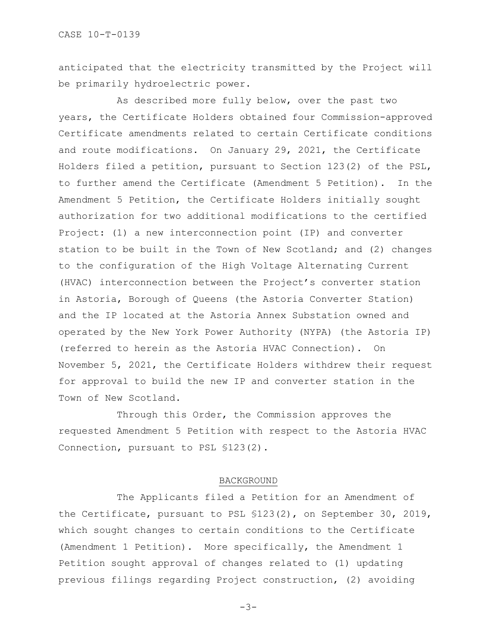anticipated that the electricity transmitted by the Project will be primarily hydroelectric power.

As described more fully below, over the past two years, the Certificate Holders obtained four Commission-approved Certificate amendments related to certain Certificate conditions and route modifications. On January 29, 2021, the Certificate Holders filed a petition, pursuant to Section 123(2) of the PSL, to further amend the Certificate (Amendment 5 Petition). In the Amendment 5 Petition, the Certificate Holders initially sought authorization for two additional modifications to the certified Project: (1) a new interconnection point (IP) and converter station to be built in the Town of New Scotland; and (2) changes to the configuration of the High Voltage Alternating Current (HVAC) interconnection between the Project's converter station in Astoria, Borough of Queens (the Astoria Converter Station) and the IP located at the Astoria Annex Substation owned and operated by the New York Power Authority (NYPA) (the Astoria IP) (referred to herein as the Astoria HVAC Connection). On November 5, 2021, the Certificate Holders withdrew their request for approval to build the new IP and converter station in the Town of New Scotland.

Through this Order, the Commission approves the requested Amendment 5 Petition with respect to the Astoria HVAC Connection, pursuant to PSL §123(2).

### BACKGROUND

The Applicants filed a Petition for an Amendment of the Certificate, pursuant to PSL §123(2), on September 30, 2019, which sought changes to certain conditions to the Certificate (Amendment 1 Petition). More specifically, the Amendment 1 Petition sought approval of changes related to (1) updating previous filings regarding Project construction, (2) avoiding

-3-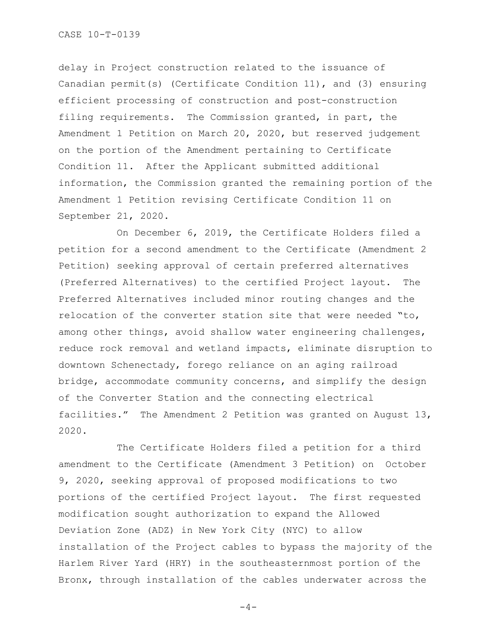delay in Project construction related to the issuance of Canadian permit(s) (Certificate Condition 11), and (3) ensuring efficient processing of construction and post-construction filing requirements. The Commission granted, in part, the Amendment 1 Petition on March 20, 2020, but reserved judgement on the portion of the Amendment pertaining to Certificate Condition 11. After the Applicant submitted additional information, the Commission granted the remaining portion of the Amendment 1 Petition revising Certificate Condition 11 on September 21, 2020.

On December 6, 2019, the Certificate Holders filed a petition for a second amendment to the Certificate (Amendment 2 Petition) seeking approval of certain preferred alternatives (Preferred Alternatives) to the certified Project layout. The Preferred Alternatives included minor routing changes and the relocation of the converter station site that were needed "to, among other things, avoid shallow water engineering challenges, reduce rock removal and wetland impacts, eliminate disruption to downtown Schenectady, forego reliance on an aging railroad bridge, accommodate community concerns, and simplify the design of the Converter Station and the connecting electrical facilities." The Amendment 2 Petition was granted on August 13, 2020.

The Certificate Holders filed a petition for a third amendment to the Certificate (Amendment 3 Petition) on October 9, 2020, seeking approval of proposed modifications to two portions of the certified Project layout. The first requested modification sought authorization to expand the Allowed Deviation Zone (ADZ) in New York City (NYC) to allow installation of the Project cables to bypass the majority of the Harlem River Yard (HRY) in the southeasternmost portion of the Bronx, through installation of the cables underwater across the

 $-4-$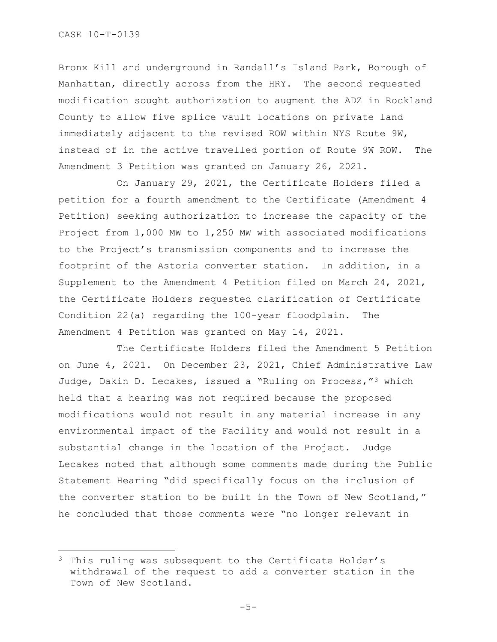Bronx Kill and underground in Randall's Island Park, Borough of Manhattan, directly across from the HRY. The second requested modification sought authorization to augment the ADZ in Rockland County to allow five splice vault locations on private land immediately adjacent to the revised ROW within NYS Route 9W, instead of in the active travelled portion of Route 9W ROW. The Amendment 3 Petition was granted on January 26, 2021.

On January 29, 2021, the Certificate Holders filed a petition for a fourth amendment to the Certificate (Amendment 4 Petition) seeking authorization to increase the capacity of the Project from 1,000 MW to 1,250 MW with associated modifications to the Project's transmission components and to increase the footprint of the Astoria converter station. In addition, in a Supplement to the Amendment 4 Petition filed on March 24, 2021, the Certificate Holders requested clarification of Certificate Condition 22(a) regarding the 100-year floodplain. The Amendment 4 Petition was granted on May 14, 2021.

The Certificate Holders filed the Amendment 5 Petition on June 4, 2021. On December 23, 2021, Chief Administrative Law Judge, Dakin D. Lecakes, issued a "Ruling on Process,"[3](#page-4-0) which held that a hearing was not required because the proposed modifications would not result in any material increase in any environmental impact of the Facility and would not result in a substantial change in the location of the Project. Judge Lecakes noted that although some comments made during the Public Statement Hearing "did specifically focus on the inclusion of the converter station to be built in the Town of New Scotland," he concluded that those comments were "no longer relevant in

<span id="page-4-0"></span><sup>&</sup>lt;sup>3</sup> This ruling was subsequent to the Certificate Holder's withdrawal of the request to add a converter station in the Town of New Scotland.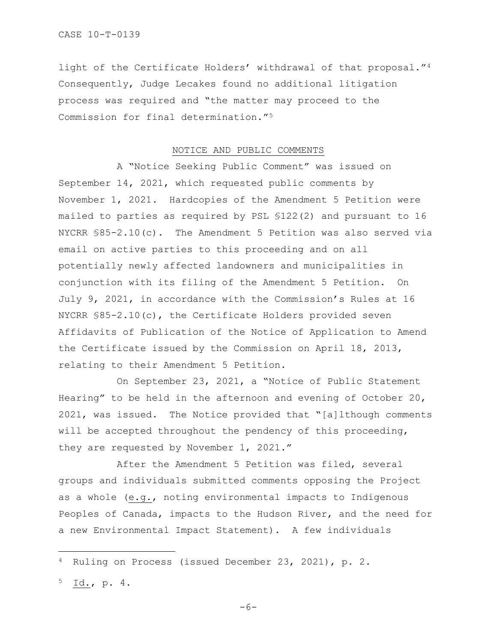light of the Certificate Holders' withdrawal of that proposal."[4](#page-5-0)  Consequently, Judge Lecakes found no additional litigation process was required and "the matter may proceed to the Commission for final determination."[5](#page-5-1) 

## NOTICE AND PUBLIC COMMENTS

A "Notice Seeking Public Comment" was issued on September 14, 2021, which requested public comments by November 1, 2021. Hardcopies of the Amendment 5 Petition were mailed to parties as required by PSL §122(2) and pursuant to 16 NYCRR §85-2.10(c). The Amendment 5 Petition was also served via email on active parties to this proceeding and on all potentially newly affected landowners and municipalities in conjunction with its filing of the Amendment 5 Petition. On July 9, 2021, in accordance with the Commission's Rules at 16 NYCRR §85-2.10(c), the Certificate Holders provided seven Affidavits of Publication of the Notice of Application to Amend the Certificate issued by the Commission on April 18, 2013, relating to their Amendment 5 Petition.

On September 23, 2021, a "Notice of Public Statement Hearing" to be held in the afternoon and evening of October 20, 2021, was issued. The Notice provided that "[a]lthough comments will be accepted throughout the pendency of this proceeding, they are requested by November 1, 2021."

After the Amendment 5 Petition was filed, several groups and individuals submitted comments opposing the Project as a whole (e.g., noting environmental impacts to Indigenous Peoples of Canada, impacts to the Hudson River, and the need for a new Environmental Impact Statement). A few individuals

<span id="page-5-1"></span><sup>5</sup> Id., p. 4.

<span id="page-5-0"></span><sup>4</sup> Ruling on Process (issued December 23, 2021), p. 2.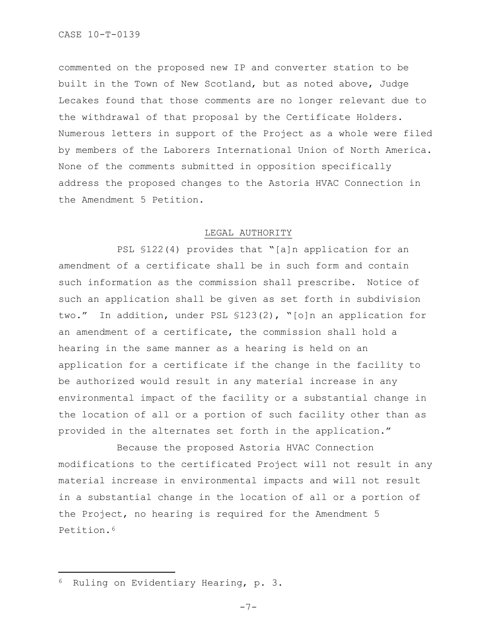commented on the proposed new IP and converter station to be built in the Town of New Scotland, but as noted above, Judge Lecakes found that those comments are no longer relevant due to the withdrawal of that proposal by the Certificate Holders. Numerous letters in support of the Project as a whole were filed by members of the Laborers International Union of North America. None of the comments submitted in opposition specifically address the proposed changes to the Astoria HVAC Connection in the Amendment 5 Petition.

## LEGAL AUTHORITY

PSL §122(4) provides that "[a]n application for an amendment of a certificate shall be in such form and contain such information as the commission shall prescribe. Notice of such an application shall be given as set forth in subdivision two." In addition, under PSL §123(2), "[o]n an application for an amendment of a certificate, the commission shall hold a hearing in the same manner as a hearing is held on an application for a certificate if the change in the facility to be authorized would result in any material increase in any environmental impact of the facility or a substantial change in the location of all or a portion of such facility other than as provided in the alternates set forth in the application."

Because the proposed Astoria HVAC Connection modifications to the certificated Project will not result in any material increase in environmental impacts and will not result in a substantial change in the location of all or a portion of the Project, no hearing is required for the Amendment 5 Petition.[6](#page-6-0)

<span id="page-6-0"></span><sup>6</sup> Ruling on Evidentiary Hearing, p. 3.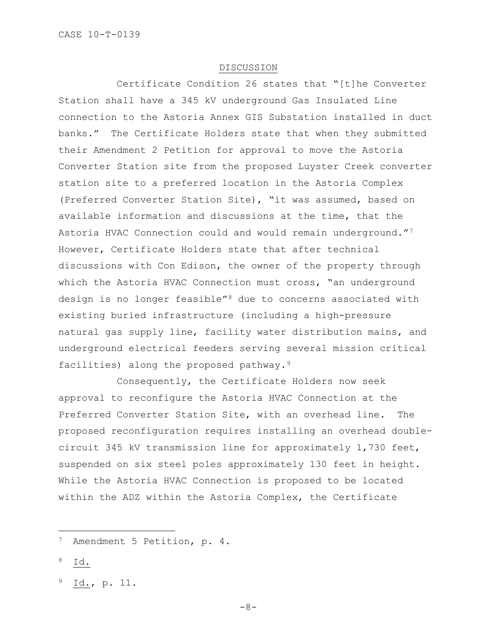#### DISCUSSION

Certificate Condition 26 states that "[t]he Converter Station shall have a 345 kV underground Gas Insulated Line connection to the Astoria Annex GIS Substation installed in duct banks." The Certificate Holders state that when they submitted their Amendment 2 Petition for approval to move the Astoria Converter Station site from the proposed Luyster Creek converter station site to a preferred location in the Astoria Complex (Preferred Converter Station Site), "it was assumed, based on available information and discussions at the time, that the Astoria HVAC Connection could and would remain underground.["7](#page-7-0) However, Certificate Holders state that after technical discussions with Con Edison, the owner of the property through which the Astoria HVAC Connection must cross, "an underground design is no longer feasible"[8](#page-7-1) due to concerns associated with existing buried infrastructure (including a high-pressure natural gas supply line, facility water distribution mains, and underground electrical feeders serving several mission critical facilities) along the proposed pathway.[9](#page-7-2)

Consequently, the Certificate Holders now seek approval to reconfigure the Astoria HVAC Connection at the Preferred Converter Station Site, with an overhead line. The proposed reconfiguration requires installing an overhead doublecircuit 345 kV transmission line for approximately 1,730 feet, suspended on six steel poles approximately 130 feet in height. While the Astoria HVAC Connection is proposed to be located within the ADZ within the Astoria Complex, the Certificate

<span id="page-7-1"></span> $8$  Id.

<span id="page-7-0"></span><sup>7</sup> Amendment 5 Petition, p. 4.

<span id="page-7-2"></span><sup>9</sup> Id., p. 11.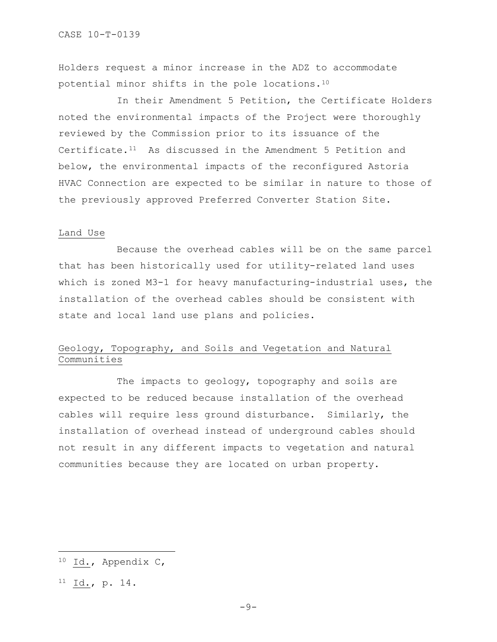Holders request a minor increase in the ADZ to accommodate potential minor shifts in the pole locations[.10](#page-8-0)

In their Amendment 5 Petition, the Certificate Holders noted the environmental impacts of the Project were thoroughly reviewed by the Commission prior to its issuance of the Certificate. $11$  As discussed in the Amendment 5 Petition and below, the environmental impacts of the reconfigured Astoria HVAC Connection are expected to be similar in nature to those of the previously approved Preferred Converter Station Site.

### Land Use

Because the overhead cables will be on the same parcel that has been historically used for utility-related land uses which is zoned M3-1 for heavy manufacturing-industrial uses, the installation of the overhead cables should be consistent with state and local land use plans and policies.

# Geology, Topography, and Soils and Vegetation and Natural Communities

The impacts to geology, topography and soils are expected to be reduced because installation of the overhead cables will require less ground disturbance. Similarly, the installation of overhead instead of underground cables should not result in any different impacts to vegetation and natural communities because they are located on urban property.

<span id="page-8-1"></span> $^{11}$  Id., p. 14.

<span id="page-8-0"></span><sup>10</sup> Id., Appendix C,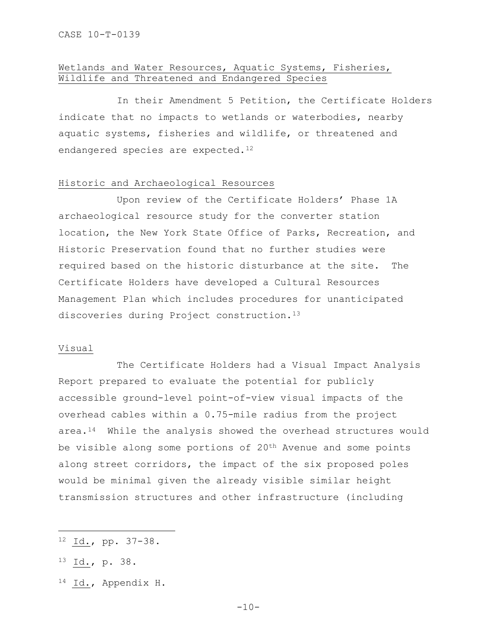# Wetlands and Water Resources, Aquatic Systems, Fisheries, Wildlife and Threatened and Endangered Species

In their Amendment 5 Petition, the Certificate Holders indicate that no impacts to wetlands or waterbodies, nearby aquatic systems, fisheries and wildlife, or threatened and endangered species are expected.<sup>[12](#page-9-0)</sup>

# Historic and Archaeological Resources

Upon review of the Certificate Holders' Phase 1A archaeological resource study for the converter station location, the New York State Office of Parks, Recreation, and Historic Preservation found that no further studies were required based on the historic disturbance at the site. The Certificate Holders have developed a Cultural Resources Management Plan which includes procedures for unanticipated discoveries during Project construction.<sup>13</sup>

## Visual

The Certificate Holders had a Visual Impact Analysis Report prepared to evaluate the potential for publicly accessible ground-level point-of-view visual impacts of the overhead cables within a 0.75-mile radius from the project area.[14](#page-9-2) While the analysis showed the overhead structures would be visible along some portions of 20<sup>th</sup> Avenue and some points along street corridors, the impact of the six proposed poles would be minimal given the already visible similar height transmission structures and other infrastructure (including

<span id="page-9-2"></span><sup>14</sup> Id., Appendix H.

<span id="page-9-0"></span><sup>12</sup> Id., pp. 37-38.

<span id="page-9-1"></span><sup>13</sup> Id., p. 38.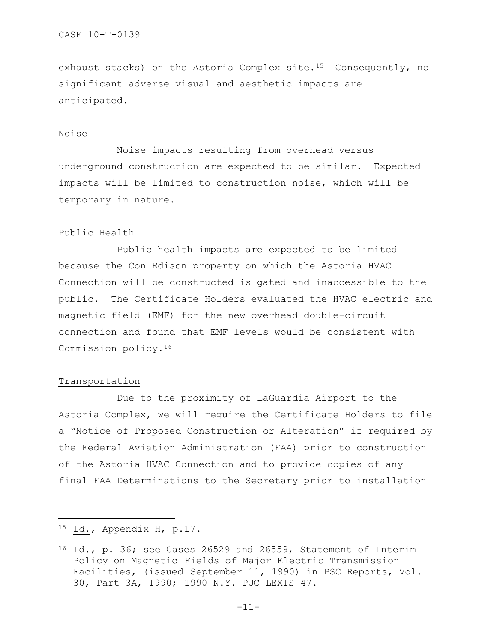exhaust stacks) on the Astoria Complex site.<sup>15</sup> Consequently, no significant adverse visual and aesthetic impacts are anticipated.

# Noise

Noise impacts resulting from overhead versus underground construction are expected to be similar. Expected impacts will be limited to construction noise, which will be temporary in nature.

#### Public Health

Public health impacts are expected to be limited because the Con Edison property on which the Astoria HVAC Connection will be constructed is gated and inaccessible to the public. The Certificate Holders evaluated the HVAC electric and magnetic field (EMF) for the new overhead double-circuit connection and found that EMF levels would be consistent with Commission policy.[16](#page-10-1) 

# Transportation

Due to the proximity of LaGuardia Airport to the Astoria Complex, we will require the Certificate Holders to file a "Notice of Proposed Construction or Alteration" if required by the Federal Aviation Administration (FAA) prior to construction of the Astoria HVAC Connection and to provide copies of any final FAA Determinations to the Secretary prior to installation

<span id="page-10-0"></span><sup>15</sup> Id., Appendix H, p.17.

<span id="page-10-1"></span><sup>16</sup> Id., p. 36; see Cases 26529 and 26559, Statement of Interim Policy on Magnetic Fields of Major Electric Transmission Facilities, (issued September 11, 1990) in PSC Reports, Vol. 30, Part 3A, 1990; 1990 N.Y. PUC LEXIS 47.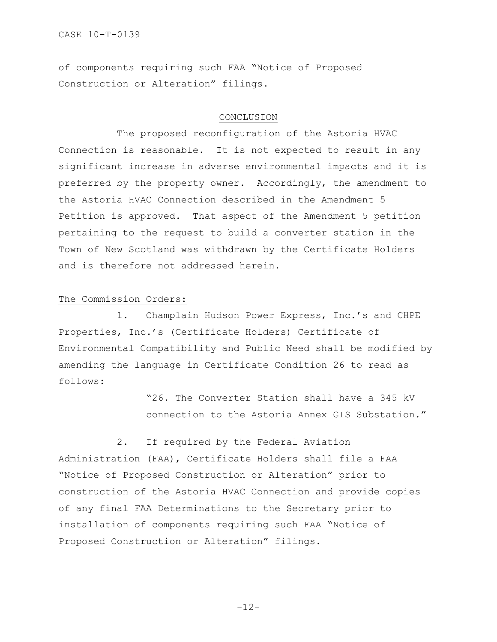CASE 10-T-0139

of components requiring such FAA "Notice of Proposed Construction or Alteration" filings.

# CONCLUSION

The proposed reconfiguration of the Astoria HVAC Connection is reasonable. It is not expected to result in any significant increase in adverse environmental impacts and it is preferred by the property owner. Accordingly, the amendment to the Astoria HVAC Connection described in the Amendment 5 Petition is approved. That aspect of the Amendment 5 petition pertaining to the request to build a converter station in the Town of New Scotland was withdrawn by the Certificate Holders and is therefore not addressed herein.

# The Commission Orders:

1. Champlain Hudson Power Express, Inc.'s and CHPE Properties, Inc.'s (Certificate Holders) Certificate of Environmental Compatibility and Public Need shall be modified by amending the language in Certificate Condition 26 to read as follows:

> "26. The Converter Station shall have a 345 kV connection to the Astoria Annex GIS Substation."

2. If required by the Federal Aviation Administration (FAA), Certificate Holders shall file a FAA "Notice of Proposed Construction or Alteration" prior to construction of the Astoria HVAC Connection and provide copies of any final FAA Determinations to the Secretary prior to installation of components requiring such FAA "Notice of Proposed Construction or Alteration" filings.

-12-